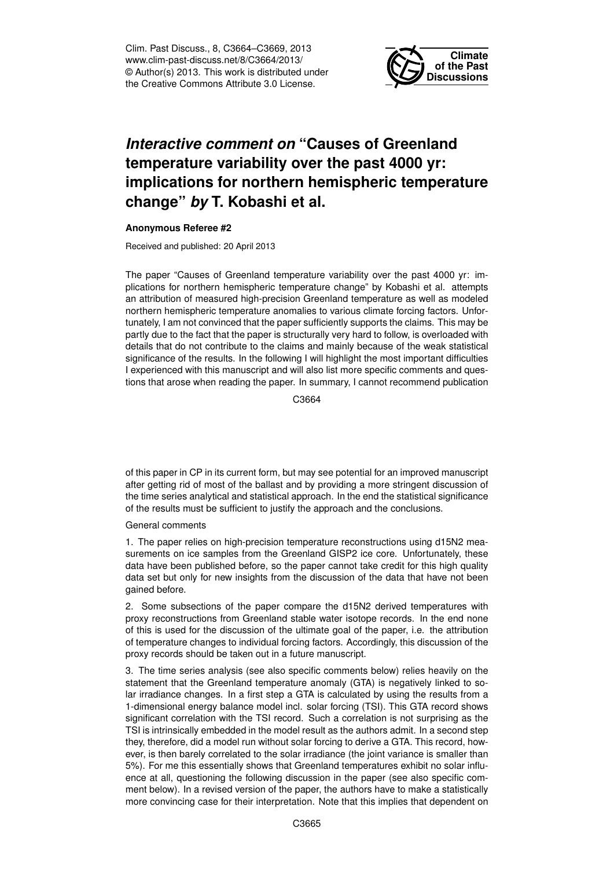Clim. Past Discuss., 8, C3664–C3669, 2013 www.clim-past-discuss.net/8/C3664/2013/ © Author(s) 2013. This work is distributed under the Creative Commons Attribute 3.0 License.



## *Interactive comment on* **"Causes of Greenland temperature variability over the past 4000 yr: implications for northern hemispheric temperature change"** *by* **T. Kobashi et al.**

## **Anonymous Referee #2**

Received and published: 20 April 2013

The paper "Causes of Greenland temperature variability over the past 4000 yr: implications for northern hemispheric temperature change" by Kobashi et al. attempts an attribution of measured high-precision Greenland temperature as well as modeled northern hemispheric temperature anomalies to various climate forcing factors. Unfortunately, I am not convinced that the paper sufficiently supports the claims. This may be partly due to the fact that the paper is structurally very hard to follow, is overloaded with details that do not contribute to the claims and mainly because of the weak statistical significance of the results. In the following I will highlight the most important difficulties I experienced with this manuscript and will also list more specific comments and questions that arose when reading the paper. In summary, I cannot recommend publication

C3664

of this paper in CP in its current form, but may see potential for an improved manuscript after getting rid of most of the ballast and by providing a more stringent discussion of the time series analytical and statistical approach. In the end the statistical significance of the results must be sufficient to justify the approach and the conclusions.

General comments

1. The paper relies on high-precision temperature reconstructions using d15N2 measurements on ice samples from the Greenland GISP2 ice core. Unfortunately, these data have been published before, so the paper cannot take credit for this high quality data set but only for new insights from the discussion of the data that have not been gained before.

2. Some subsections of the paper compare the d15N2 derived temperatures with proxy reconstructions from Greenland stable water isotope records. In the end none of this is used for the discussion of the ultimate goal of the paper, i.e. the attribution of temperature changes to individual forcing factors. Accordingly, this discussion of the proxy records should be taken out in a future manuscript.

3. The time series analysis (see also specific comments below) relies heavily on the statement that the Greenland temperature anomaly (GTA) is negatively linked to solar irradiance changes. In a first step a GTA is calculated by using the results from a 1-dimensional energy balance model incl. solar forcing (TSI). This GTA record shows significant correlation with the TSI record. Such a correlation is not surprising as the TSI is intrinsically embedded in the model result as the authors admit. In a second step they, therefore, did a model run without solar forcing to derive a GTA. This record, however, is then barely correlated to the solar irradiance (the joint variance is smaller than 5%). For me this essentially shows that Greenland temperatures exhibit no solar influence at all, questioning the following discussion in the paper (see also specific comment below). In a revised version of the paper, the authors have to make a statistically more convincing case for their interpretation. Note that this implies that dependent on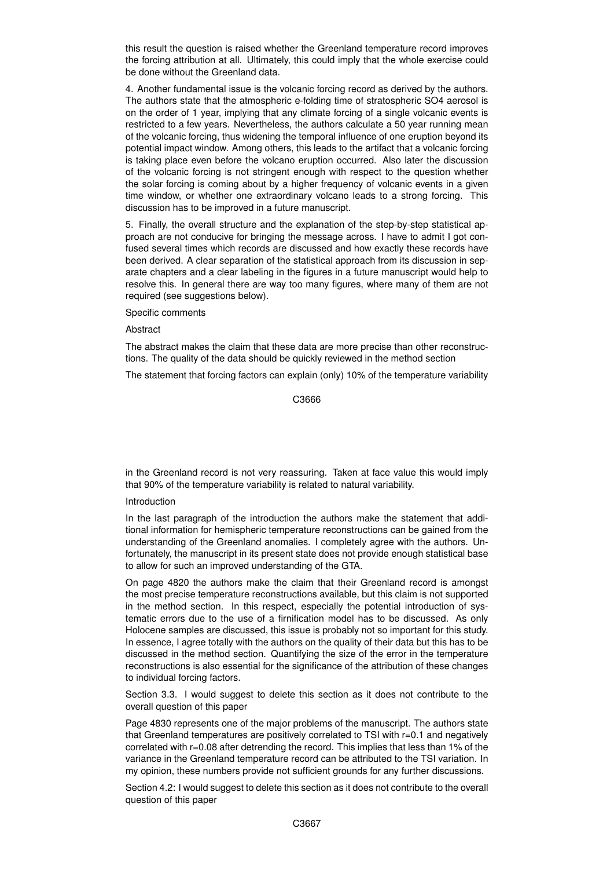this result the question is raised whether the Greenland temperature record improves the forcing attribution at all. Ultimately, this could imply that the whole exercise could be done without the Greenland data.

4. Another fundamental issue is the volcanic forcing record as derived by the authors. The authors state that the atmospheric e-folding time of stratospheric SO4 aerosol is on the order of 1 year, implying that any climate forcing of a single volcanic events is restricted to a few years. Nevertheless, the authors calculate a 50 year running mean of the volcanic forcing, thus widening the temporal influence of one eruption beyond its potential impact window. Among others, this leads to the artifact that a volcanic forcing is taking place even before the volcano eruption occurred. Also later the discussion of the volcanic forcing is not stringent enough with respect to the question whether the solar forcing is coming about by a higher frequency of volcanic events in a given time window, or whether one extraordinary volcano leads to a strong forcing. This discussion has to be improved in a future manuscript.

5. Finally, the overall structure and the explanation of the step-by-step statistical approach are not conducive for bringing the message across. I have to admit I got confused several times which records are discussed and how exactly these records have been derived. A clear separation of the statistical approach from its discussion in separate chapters and a clear labeling in the figures in a future manuscript would help to resolve this. In general there are way too many figures, where many of them are not required (see suggestions below).

Specific comments

Abstract

The abstract makes the claim that these data are more precise than other reconstructions. The quality of the data should be quickly reviewed in the method section

The statement that forcing factors can explain (only) 10% of the temperature variability

C3666

in the Greenland record is not very reassuring. Taken at face value this would imply that 90% of the temperature variability is related to natural variability.

## Introduction

In the last paragraph of the introduction the authors make the statement that additional information for hemispheric temperature reconstructions can be gained from the understanding of the Greenland anomalies. I completely agree with the authors. Unfortunately, the manuscript in its present state does not provide enough statistical base to allow for such an improved understanding of the GTA.

On page 4820 the authors make the claim that their Greenland record is amongst the most precise temperature reconstructions available, but this claim is not supported in the method section. In this respect, especially the potential introduction of systematic errors due to the use of a firnification model has to be discussed. As only Holocene samples are discussed, this issue is probably not so important for this study. In essence, I agree totally with the authors on the quality of their data but this has to be discussed in the method section. Quantifying the size of the error in the temperature reconstructions is also essential for the significance of the attribution of these changes to individual forcing factors.

Section 3.3. I would suggest to delete this section as it does not contribute to the overall question of this paper

Page 4830 represents one of the major problems of the manuscript. The authors state that Greenland temperatures are positively correlated to TSI with r=0.1 and negatively correlated with r=0.08 after detrending the record. This implies that less than 1% of the variance in the Greenland temperature record can be attributed to the TSI variation. In my opinion, these numbers provide not sufficient grounds for any further discussions.

Section 4.2: I would suggest to delete this section as it does not contribute to the overall question of this paper